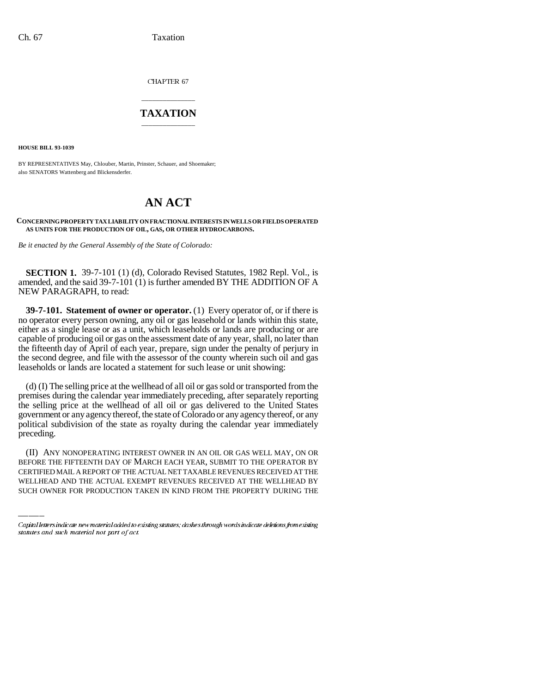CHAPTER 67

## \_\_\_\_\_\_\_\_\_\_\_\_\_\_\_ **TAXATION** \_\_\_\_\_\_\_\_\_\_\_\_\_\_\_

**HOUSE BILL 93-1039**

BY REPRESENTATIVES May, Chlouber, Martin, Prinster, Schauer, and Shoemaker; also SENATORS Wattenberg and Blickensderfer.

# **AN ACT**

#### **CONCERNING PROPERTY TAX LIABILITY ON FRACTIONAL INTERESTS IN WELLS OR FIELDS OPERATED AS UNITS FOR THE PRODUCTION OF OIL, GAS, OR OTHER HYDROCARBONS.**

*Be it enacted by the General Assembly of the State of Colorado:*

**SECTION 1.** 39-7-101 (1) (d), Colorado Revised Statutes, 1982 Repl. Vol., is amended, and the said 39-7-101 (1) is further amended BY THE ADDITION OF A NEW PARAGRAPH, to read:

**39-7-101. Statement of owner or operator.** (1) Every operator of, or if there is no operator every person owning, any oil or gas leasehold or lands within this state, either as a single lease or as a unit, which leaseholds or lands are producing or are capable of producing oil or gas on the assessment date of any year, shall, no later than the fifteenth day of April of each year, prepare, sign under the penalty of perjury in the second degree, and file with the assessor of the county wherein such oil and gas leaseholds or lands are located a statement for such lease or unit showing:

(d) (I) The selling price at the wellhead of all oil or gas sold or transported from the premises during the calendar year immediately preceding, after separately reporting the selling price at the wellhead of all oil or gas delivered to the United States government or any agency thereof, the state of Colorado or any agency thereof, or any political subdivision of the state as royalty during the calendar year immediately preceding.

(II) ANY NONOPERATING INTEREST OWNER IN AN OIL OR GAS WELL MAY, ON OR BEFORE THE FIFTEENTH DAY OF MARCH EACH YEAR, SUBMIT TO THE OPERATOR BY CERTIFIED MAIL A REPORT OF THE ACTUAL NET TAXABLE REVENUES RECEIVED AT THE WELLHEAD AND THE ACTUAL EXEMPT REVENUES RECEIVED AT THE WELLHEAD BY SUCH OWNER FOR PRODUCTION TAKEN IN KIND FROM THE PROPERTY DURING THE

Capital letters indicate new material added to existing statutes; dashes through words indicate deletions from existing statutes and such material not part of act.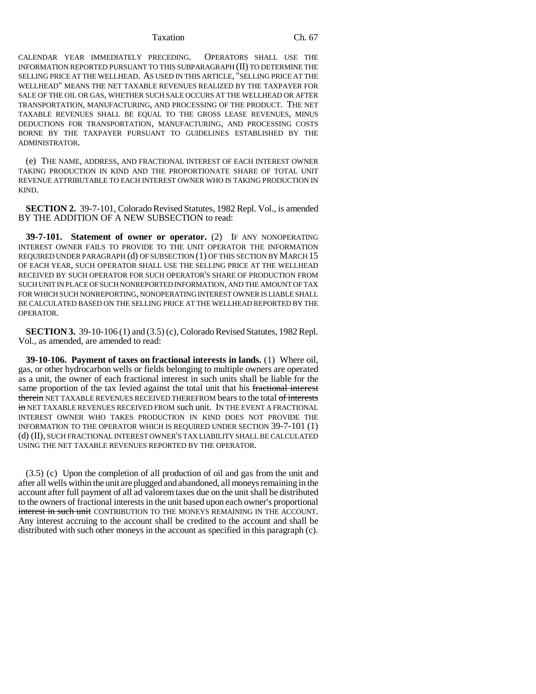#### Taxation Ch. 67

CALENDAR YEAR IMMEDIATELY PRECEDING. OPERATORS SHALL USE THE INFORMATION REPORTED PURSUANT TO THIS SUBPARAGRAPH (II) TO DETERMINE THE SELLING PRICE AT THE WELLHEAD. AS USED IN THIS ARTICLE, "SELLING PRICE AT THE WELLHEAD" MEANS THE NET TAXABLE REVENUES REALIZED BY THE TAXPAYER FOR SALE OF THE OIL OR GAS, WHETHER SUCH SALE OCCURS AT THE WELLHEAD OR AFTER TRANSPORTATION, MANUFACTURING, AND PROCESSING OF THE PRODUCT. THE NET TAXABLE REVENUES SHALL BE EQUAL TO THE GROSS LEASE REVENUES, MINUS DEDUCTIONS FOR TRANSPORTATION, MANUFACTURING, AND PROCESSING COSTS BORNE BY THE TAXPAYER PURSUANT TO GUIDELINES ESTABLISHED BY THE ADMINISTRATOR.

(e) THE NAME, ADDRESS, AND FRACTIONAL INTEREST OF EACH INTEREST OWNER TAKING PRODUCTION IN KIND AND THE PROPORTIONATE SHARE OF TOTAL UNIT REVENUE ATTRIBUTABLE TO EACH INTEREST OWNER WHO IS TAKING PRODUCTION IN KIND.

**SECTION 2.** 39-7-101, Colorado Revised Statutes, 1982 Repl. Vol., is amended BY THE ADDITION OF A NEW SUBSECTION to read:

**39-7-101. Statement of owner or operator.** (2) IF ANY NONOPERATING INTEREST OWNER FAILS TO PROVIDE TO THE UNIT OPERATOR THE INFORMATION REQUIRED UNDER PARAGRAPH (d) OF SUBSECTION (1) OF THIS SECTION BY MARCH 15 OF EACH YEAR, SUCH OPERATOR SHALL USE THE SELLING PRICE AT THE WELLHEAD RECEIVED BY SUCH OPERATOR FOR SUCH OPERATOR'S SHARE OF PRODUCTION FROM SUCH UNIT IN PLACE OF SUCH NONREPORTED INFORMATION, AND THE AMOUNT OF TAX FOR WHICH SUCH NONREPORTING, NONOPERATING INTEREST OWNER IS LIABLE SHALL BE CALCULATED BASED ON THE SELLING PRICE AT THE WELLHEAD REPORTED BY THE OPERATOR.

**SECTION 3.** 39-10-106 (1) and (3.5) (c), Colorado Revised Statutes, 1982 Repl. Vol., as amended, are amended to read:

**39-10-106. Payment of taxes on fractional interests in lands.** (1) Where oil, gas, or other hydrocarbon wells or fields belonging to multiple owners are operated as a unit, the owner of each fractional interest in such units shall be liable for the same proportion of the tax levied against the total unit that his fractional interest therein NET TAXABLE REVENUES RECEIVED THEREFROM bears to the total of interests in NET TAXABLE REVENUES RECEIVED FROM such unit. IN THE EVENT A FRACTIONAL INTEREST OWNER WHO TAKES PRODUCTION IN KIND DOES NOT PROVIDE THE INFORMATION TO THE OPERATOR WHICH IS REQUIRED UNDER SECTION 39-7-101 (1) (d) (II), SUCH FRACTIONAL INTEREST OWNER'S TAX LIABILITY SHALL BE CALCULATED USING THE NET TAXABLE REVENUES REPORTED BY THE OPERATOR.

(3.5) (c) Upon the completion of all production of oil and gas from the unit and after all wells within the unit are plugged and abandoned, all moneys remaining in the account after full payment of all ad valorem taxes due on the unit shall be distributed to the owners of fractional interests in the unit based upon each owner's proportional interest in such unit CONTRIBUTION TO THE MONEYS REMAINING IN THE ACCOUNT. Any interest accruing to the account shall be credited to the account and shall be distributed with such other moneys in the account as specified in this paragraph (c).